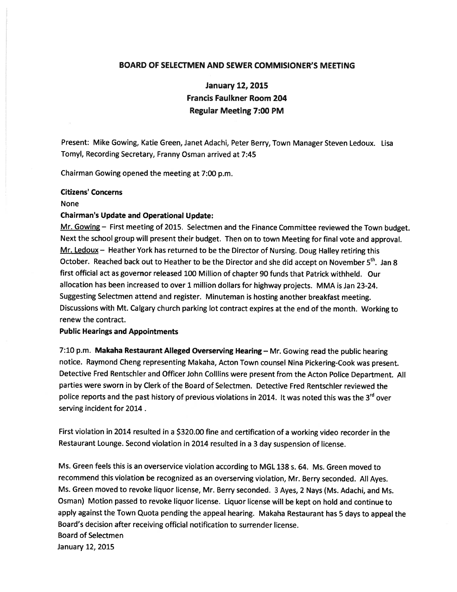### BOARD OF SELECTMEN AND SEWER COMMISIONER'S MEETING

January 12, 2015 Francis Faulkner Room 204 Regular Meeting 7:00 PM

Present: Mike Gowing, Katie Green, Janet Adachi, Peter Berry, Town Manager Steven Ledoux. Lisa Tomyl, Recording Secretary, Franny Osman arrived at 7:45

Chairman Gowing opened the meeting at 7:00 p.m.

#### Citizens' Concerns

#### None

#### Chairman's Update and Operational Update:

Mr. Gowing – First meeting of 2015. Selectmen and the Finance Committee reviewed the Town budget. Next the school group will presen<sup>t</sup> their budget. Then on to town Meeting for final vote and approval.  $Mr.$  Ledoux  $-$  Heather York has returned to be the Director of Nursing. Doug Halley retiring this October. Reached back out to Heather to be the Director and she did accept on November 5<sup>th</sup>, Jan 8 first official act as governor released <sup>100</sup> Million of chapter 90 funds that Patrick withheld. Our allocation has been increased to over <sup>1</sup> million dollars for highway projects. MMA is Jan 23-24. Suggesting Selectmen attend and register. Minuteman is hosting another breakfast meeting. Discussions with Mt. Calgary church parking lot contract expires at the end of the month. Working to renew the contract.

### Public Hearings and Appointments

7:10 p.m. Makaha Restaurant Alleged Overserving Hearing— Mr. Gowing read the public hearing notice. Raymond Cheng representing Makaha, Acton Town counsel Nina Pickering-Cook was present. Detective Fred Rentschler and Officer John Colllins were presen<sup>t</sup> from the Acton Police Department. All parties were sworn in by Clerk of the Board of Selectmen. Detective Fred Rentschler reviewed the police reports and the past history of previous violations in 2014. It was noted this was the 3<sup>rd</sup> over serving incident for 2014.

First violation in <sup>2014</sup> resulted in <sup>a</sup> \$320.00 fine and certification of <sup>a</sup> working video recorder in the Restaurant Lounge. Second violation in <sup>2014</sup> resulted in <sup>a</sup> <sup>3</sup> day suspension of license.

Ms. Green feels this is an overservice violation according to MGL 138 s. 64. Ms. Green moved to recommend this violation be recognized as an overserving violation, Mr. Berry seconded. All Ayes. Ms. Green moved to revoke liquor license, Mr. Berry seconded. <sup>3</sup> Ayes, <sup>2</sup> Nays (Ms. Adachi, and Ms. Osman) Motion passe<sup>d</sup> to revoke liquor license. Liquor license will be kept on hold and continue to apply against the Town Quota pending the appea<sup>l</sup> hearing. Makaha Restaurant has <sup>5</sup> days to appea<sup>l</sup> the Board's decision after receiving official notification to surrender license. Board of Selectmen January 12, 2015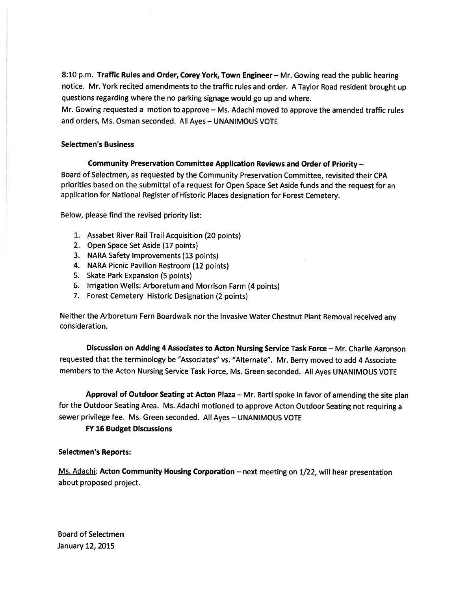8:10 p.m. Traffic Rules and Order, Corey York, Town Engineer - Mr. Gowing read the public hearing notice. Mr. York recited amendments to the traffic rules and order. <sup>A</sup> Taylor Road resident brought up questions regarding where the no parking signage would go up and where.

Mr. Gowing requested <sup>a</sup> motion to approve — Ms. Adachi moved to approve the amended traffic rules and orders, Ms. Osman seconded. All Ayes — UNANIMOUS VOTE

## Selectmen's Business

# Community Preservation Committee Application Reviews and Order of Priority —

Board of Selectmen, as requested by the Community Preservation Committee, revisited their CPA priorities based on the submittal of <sup>a</sup> reques<sup>t</sup> for Open Space Set Aside funds and the reques<sup>t</sup> for an application for National Register of Historic Places designation for Forest Cemetery.

Below, please find the revised priority list:

- 1. Assabet River Rail Trail Acquisition (20 points)
- 2. Open Space Set Aside (17 points)
- 3. NARA Safety Improvements (13 points)
- 4. NARA Picnic Pavilion Restroom (12 points)
- 5. Skate Park Expansion (5 points)
- 6. Irrigation Wells: Arboretum and Morrison Farm (4 points)
- 7. Forest Cemetery Historic Designation (2 points)

Neither the Arboretum Fern Boardwalk nor the Invasive Water Chestnut Plant Removal received any consideration.

Discussion on Adding 4 Associates to Acton Nursing Service Task Force — Mr. Charlie Aaronson requested that the terminology be "Associates" vs. "Alternate". Mr. Berry moved to add <sup>4</sup> Associate members to the Acton Nursing Service Task Force, Ms. Green seconded. All Ayes UNANIMOUS VOTE

Approval of Outdoor Seating at Acton Plaza — Mr. Barti spoke in favor of amending the site <sup>p</sup>lan for the Outdoor Seating Area. Ms. Adachi motioned to approve Acton Outdoor Seating not requiring <sup>a</sup> sewer privilege fee. Ms. Green seconded. All Ayes — UNANIMOUS VOTE

FY 16 Budget Discussions

# Selectmen's Reports:

Ms. Adachi: Acton Community Housing Corporation - next meeting on 1/22, will hear presentation about proposed project.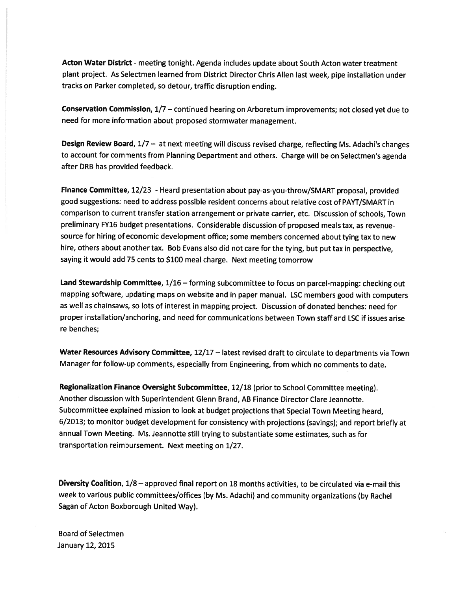Acton Water District - meeting tonight. Agenda includes update about South Acton water treatment <sup>p</sup>lant project. As Selectmen learned from District Director Chris Allen last week, <sup>p</sup>ipe installation under tracks on Parker completed, so detour, traffic disruption ending.

Conservation Commission, 1/7 — continued hearing on Arboretum improvements; not closed ye<sup>t</sup> due to need for more information about proposed stormwater management.

Design Review Board, 1/7 - at next meeting will discuss revised charge, reflecting Ms. Adachi's changes to account for comments from Planning Department and others. Charge will be on Selectmen's agenda after DRB has provided feedback.

Finance Committee, 12/23 - Heard presentation about pay-as-you-throw/SMART proposal, provided good suggestions: need to address possible resident concerns about relative cost of PAYT/SMART in comparison to current transfer station arrangemen<sup>t</sup> or private carrier, etc. Discussion of schools, Town preliminary FY16 budget presentations. Considerable discussion of propose<sup>d</sup> meals tax, as revenuesource for hiring of economic development office; some members concerned about tying tax to new hire, others about another tax. Bob Evans also did not care for the tying, but pu<sup>t</sup> tax in perspective, saying it would add <sup>75</sup> cents to \$100 meal charge. Next meeting tomorrow

Land Stewardship Committee, 1/16 - forming subcommittee to focus on parcel-mapping: checking out mapping software, updating maps on website and in paper manual. LSC members goo<sup>d</sup> with computers as well as chainsaws, so lots of interest in mapping project. Discussion of donated benches: need for proper installation/anchoring, and need for communications between Town staff and LSC if issues arise re benches;

Water Resources Advisory Committee, 12/17 - latest revised draft to circulate to departments via Town Manager for follow-up comments, especially from Engineering, from which no comments to date.

Regionalization Finance Oversight Subcommittee, 12/18 (prior to School Committee meeting). Another discussion with Superintendent Glenn Brand, AB Finance Director Clare Jeannotte. Subcommittee explained mission to look at budget projections that Special Town Meeting heard, 6/2013; to monitor budget development for consistency with projections (savings); and repor<sup>t</sup> briefly at annual Town Meeting. Ms. Jeannotte still trying to substantiate some estimates, such as for transportation reimbursement. Next meeting on 1/27.

Diversity Coalition, 1/8 — approved final repor<sup>t</sup> on 18 months activities, to be circulated via e-mail this week to various public committees/offices (by Ms. Adachi) and community organizations (by Rachel Sagan of Acton Boxborough United Way).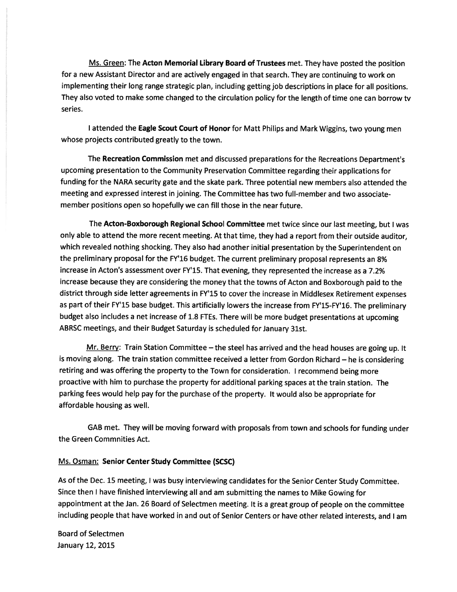Ms. Green: The Acton Memorial Library Board of Trustees met. They have posted the position for <sup>a</sup> new Assistant Director and are actively engage<sup>d</sup> in that search. They are continuing to work on implementing their long range strategic <sup>p</sup>lan, including getting job descriptions in <sup>p</sup>lace for all positions. They also voted to make some changed to the circulation policy for the length of time one can borrow tv series.

<sup>I</sup> attended the Eagle Scout Court of Honor for Matt Philips and Mark Wiggins, two young men whose projects contributed greatly to the town.

The Recreation Commission met and discussed preparations for the Recreations Department's upcoming presentation to the Community Preservation Committee regarding their applications for funding for the NARA security gate and the skate park. Three potential new members also attended the meeting and expressed interest in joining. The Committee has two full-member and two associatemember positions open so hopefully we can fill those in the near future.

The Acton-Boxborough Regional School Committee met twice since our last meeting, but <sup>I</sup> was only able to attend the more recent meeting. At that time, they had <sup>a</sup> repor<sup>t</sup> from their outside auditor, which revealed nothing shocking. They also had another initial presentation by the Superintendent on the preliminary proposa<sup>l</sup> for the FY'16 budget. The current preliminary proposa<sup>l</sup> represents an 8% increase in Acton's assessment over FY'15. That evening, they represented the increase as <sup>a</sup> 7.2% increase because they are considering the money that the towns of Acton and Boxborough paid to the district through side letter agreements in FY'15 to cover the increase in Middlesex Retirement expenses as par<sup>t</sup> of their FY'15 base budget. This artificially lowers the increase from FY'15-FY'16. The preliminary budget also includes <sup>a</sup> net increase of 1.8 FTEs. There will be more budget presentations at upcoming ABRSC meetings, and their Budget Saturday is scheduled for January 31st.

Mr. Berry: Train Station Committee - the steel has arrived and the head houses are going up. It is moving along. The train station committee received <sup>a</sup> letter from Gordon Richard — he is considering retiring and was offering the property to the Town for consideration. <sup>I</sup> recommend being more proactive with him to purchase the property for additional parking spaces at the train station. The parking fees would help pay for the purchase of the property. It would also be appropriate for affordable housing as well.

GAB met. They will be moving forward with proposals from town and schools for funding under the Green Commnities Act.

# Ms. Osman: Senior Center Study Committee (SCSC)

As of the Dec. <sup>15</sup> meeting, <sup>I</sup> was busy interviewing candidates for the Senior Center Study Committee. Since then <sup>I</sup> have finished interviewing all and am submitting the names to Mike Gowing for appointment at the Jan. <sup>26</sup> Board of Selectmen meeting. It is <sup>a</sup> grea<sup>t</sup> group of people on the committee including people that have worked in and out of Senior Centers or have other related interests, and <sup>I</sup> am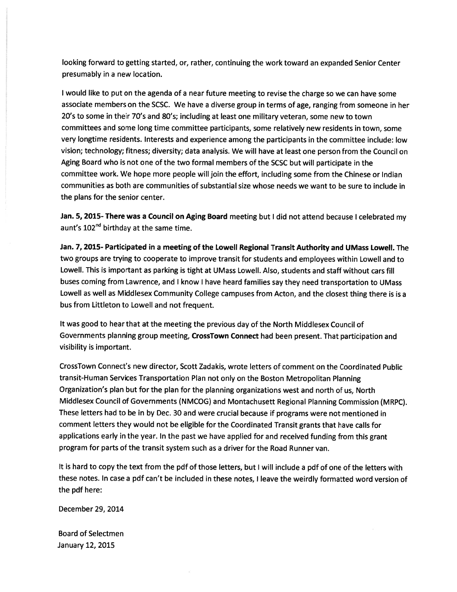looking forward to getting started, or, rather, continuing the work toward an expanded Senior Center presumably in <sup>a</sup> new location.

<sup>I</sup> would like to pu<sup>t</sup> on the agenda of <sup>a</sup> near future meeting to revise the charge so we can have some associate members on the SCSC. We have <sup>a</sup> diverse group in terms of age, ranging from someone in her 20's to some in their 70's and 80's; including at least one military veteran, some new to town committees and some long time committee participants, some relatively new residents in town, some very longtime residents. Interests and experience among the participants in the committee include: low vision; technology; fitness; diversity; data analysis. We will have at least one person from the Council on Aging Board who is not one of the two formal members of the SCSC but will participate in the committee work. We hope more people will join the effort, including some from the Chinese or Indian communities as both are communities of substantial size whose needs we want to be sure to include in the plans for the senior center.

Jan. 5, 2015- There was a Council on Aging Board meeting but I did not attend because I celebrated my aunt's  $102<sup>nd</sup>$  birthday at the same time.

Jan. 7, 2015- Participated in a meeting of the Lowell Regional Transit Authority and UMass Lowell. The two groups are trying to cooperate to improve transit for students and employees within Lowell and to Lowell. This is important as parking is tight at UMass Lowell. Also, students and staff without cars fill buses coming from Lawrence, and <sup>I</sup> know <sup>I</sup> have heard families say they need transportation to UMass Lowell as well as Middlesex Community College campuses from Acton, and the closest thing there is is <sup>a</sup> bus from Littleton to Lowell and not frequent.

It was good to hear that at the meeting the previous day of the North Middlesex Council of Governments planning group meeting, CrossTown Connect had been present. That participation and visibility is important.

CrossTown Connect's new director, Scott Zadakis, wrote letters of comment on the Coordinated Public transit-Human Services Transportation Plan not only on the Boston Metropolitan Planning Organization's <sup>p</sup>lan but for the <sup>p</sup>lan for the <sup>p</sup>lanning organizations west and north of us, North Middlesex Council of Governments (NMCOG) and Montachusett Regional Planning Commission (MRPC). These letters had to be in by Dec. <sup>30</sup> and were crucial because if programs were not mentioned in comment letters they would not be eligible for the Coordinated Transit grants that have calls for applications early in the year. In the pas<sup>t</sup> we have applied for and received funding from this gran<sup>t</sup> program for parts of the transit system such as <sup>a</sup> driver for the Road Runner van.

It is hard to copy the text from the <sup>p</sup>df of those letters, but <sup>I</sup> will include <sup>a</sup> <sup>p</sup>df of one of the letters with these notes. In case <sup>a</sup> <sup>p</sup>df can't be included in these notes, <sup>I</sup> leave the weirdly formatted word version of the pdf here:

December 29, 2014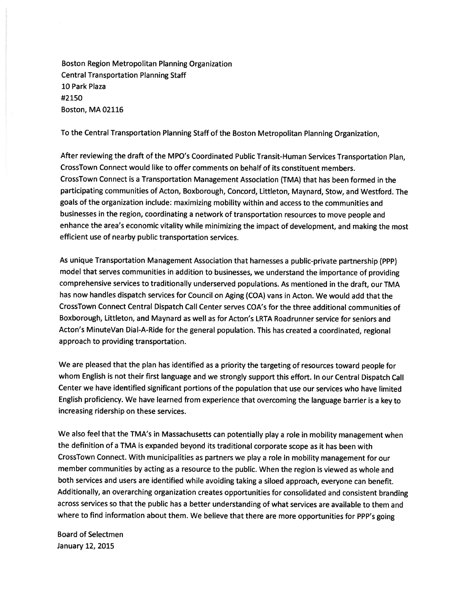Boston Region Metropolitan Planning Organization Central Transportation Planning Staff 10 Park Plaza #2150 Boston, MA 02116

To the Central Transportation Planning Staff of the Boston Metropolitan Planning Organization,

After reviewing the draft of the MPO's Coordinated Public Transit-Human Services Transportation Plan, CrossTown Connect would like to offer comments on behalf of its constituent members. CrossTown Connect is <sup>a</sup> Transportation Management Association (TMA) that has been formed in the participating communities of Acton, Boxborough, Concord, Littleton, Maynard, Stow, and Westford. The goals of the organization include: maximizing mobility within and access to the communities and businesses in the region, coordinating <sup>a</sup> network of transportation resources to move people and enhance the area's economic vitality while minimizing the impact of development, and making the most efficient use of nearby public transportation services.

As unique Transportation Management Association that harnesses <sup>a</sup> public-private partnership (PPP) model that serves communities in addition to businesses, we understand the importance of providing comprehensive services to traditionally underserved populations. As mentioned in the draft, our TMA has now handles dispatch services for Council on Aging (COA) vans in Acton. We would add that the CrossTown Connect Central Dispatch Call Center serves COA's for the three additional communities of Boxborough, Littleton, and Maynard as well as for Acton's LRTA Roadrunner service for seniors and Acton's MinuteVan Dial-A-Ride for the genera<sup>l</sup> population. This has created <sup>a</sup> coordinated, regional approach to providing transportation.

We are <sup>p</sup>leased that the <sup>p</sup>lan has identified as <sup>a</sup> priority the targeting of resources toward people for whom English is not their first language and we strongly suppor<sup>t</sup> this effort. In our Central Dispatch Call Center we have identified significant portions of the population that use our services who have limited English proficiency. We have learned from experience that overcoming the language barrier is <sup>a</sup> key to increasing ridership on these services.

We also feel that the TMA's in Massachusetts can potentially <sup>p</sup>lay <sup>a</sup> role in mobility managemen<sup>t</sup> when the definition of <sup>a</sup> TMA is expanded beyond its traditional corporate scope as it has been with CrossTown Connect. With municipalities as partners we <sup>p</sup>lay <sup>a</sup> role in mobility managemen<sup>t</sup> for our member communities by acting as <sup>a</sup> resource to the public. When the region is viewed as whole and both services and users are identified while avoiding taking <sup>a</sup> siloed approach, everyone can benefit. Additionally, an overarching organization creates opportunities for consolidated and consistent branding across services so that the public has <sup>a</sup> better understanding of what services are available to them and where to find information about them. We believe that there are more opportunities for PPP's going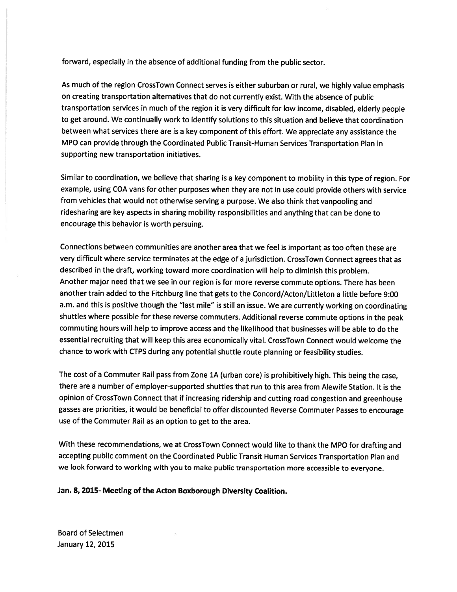forward, especially in the absence of additional funding from the public sector.

As much of the region CrossTown Connect serves is either suburban or rural, we highly value emphasis on creating transportation alternatives that do not currently exist. With the absence of public transportation services in much of the region it is very difficult for low income, disabled, elderly people to ge<sup>t</sup> around. We continually work to identify solutions to this situation and believe that coordination between what services there are is <sup>a</sup> key componen<sup>t</sup> of this effort. We appreciate any assistance the MPO can provide through the Coordinated Public Transit-Human Services Transportation Plan in supporting new transportation initiatives.

Similar to coordination, we believe that sharing is <sup>a</sup> key componen<sup>t</sup> to mobility in this type of region. For example, using COA vans for other purposes when they are not in use could provide others with service from vehicles that would not otherwise serving <sup>a</sup> purpose. We also think that vanpooling and ridesharing are key aspects in sharing mobility responsibilities and anything that can be done to encourage this behavior is worth persuing.

Connections between communities are another area that we feel is important as too often these are very difficult where service terminates at the edge of <sup>a</sup> jurisdiction. CrossTown Connect agrees that as described in the draft, working toward more coordination will help to diminish this problem. Another major need that we see in our region is for more reverse commute options. There has been another train added to the Fitchburg line that gets to the Concord/Acton/Littleton <sup>a</sup> little before 9:00 a.m. and this is positive though the "last mile" is still an issue. We are currently working on coordinating shuttles where possible for these reverse commuters. Additional reverse commute options in the pea<sup>k</sup> commuting hours will help to improve access and the likelihood that businesses will be able to do the essential recruiting that will keep this area economically vital. CrossTown Connect would welcome the chance to work with CTPS during any potential shuttle route <sup>p</sup>lanning or feasibility studies.

The cost of <sup>a</sup> Commuter Rail pass from Zone 1A (urban core) is prohibitively high. This being the case, there are <sup>a</sup> number of employer-supported shuttles that run to this area from Alewife Station. It is the opinion of CrossTown Connect that if increasing ridership and cutting road congestion and greenhouse gasses are priorities, it would be beneficial to offer discounted Reverse Commuter Passes to encourage use of the Commuter Rail as an option to ge<sup>t</sup> to the area.

With these recommendations, we at CrossTown Connect would like to thank the MPO for drafting and accepting public comment on the Coordinated Public Transit Human Services Transportation Plan and we look forward to working with you to make public transportation more accessible to everyone.

Jan. 8, 2015- Meeting of the Acton Boxborough Diversity Coalition.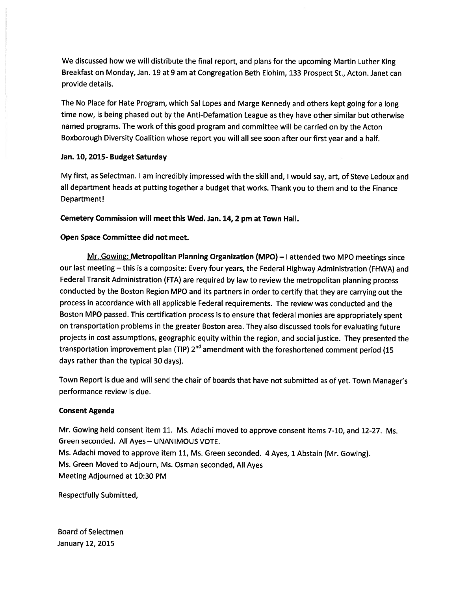We discussed how we will distribute the final report, and <sup>p</sup>lans for the upcoming Martin Luther King Breakfast on Monday, Jan. 19 at 9 am at Congregation Beth Elohim, 133 Prospect St., Acton. Janet can provide details.

The No Place for Hate Program, which Sal Lopes and Marge Kennedy and others kept going for <sup>a</sup> long time now, is being <sup>p</sup>hased out by the Anti-Defamation League as they have other similar but otherwise named programs. The work of this goo<sup>d</sup> program and committee will be carried on by the Acton Boxborough Diversity Coalition whose repor<sup>t</sup> you will all see soon after our first year and <sup>a</sup> half.

### Jan. 10, 2015- Budget Saturday

My first, as Selectman. <sup>I</sup> am incredibly impressed with the skill and, <sup>I</sup> would say, art, of Steve Ledoux and all department heads at putting together <sup>a</sup> budget that works. Thank you to them and to the Finance Department!

Cemetery Commission will meet this Wed. Jan. 14, <sup>2</sup> pm at Town Hall.

# Open Space Committee did not meet.

Mr. Gowing: Metropolitan Planning Organization (MPO) — <sup>I</sup> attended two MPO meetings since our last meeting — this is <sup>a</sup> composite: Every four years, the Federal Highway Administration (FHWA) and Federal Transit Administration (FTA) are required by law to review the metropolitan <sup>p</sup>lanning process conducted by the Boston Region MPO and its partners in order to certify that they are carrying out the process in accordance with all applicable Federal requirements. The review was conducted and the Boston MPO passed. This certification process is to ensure that federal monies are appropriately spen<sup>t</sup> on transportation problems in the greater Boston area. They also discussed tools for evaluating future projects in cost assumptions, geographic equity within the region, and social justice. They presented the transportation improvement plan (TIP) 2<sup>nd</sup> amendment with the foreshortened comment period (15 days rather than the typical 30 days).

Town Report is due and will send the chair of boards that have not submitted as of yet. Town Manager's performance review is due.

### Consent Agenda

Mr. Gowing held consent item 11. Ms. Adachi moved to approve consent items 7-10, and 12-27. Ms. Green seconded. All Ayes — UNANIMOUS VOTE. Ms. Adachi moved to approve item 11, Ms. Green seconded. <sup>4</sup> Ayes, <sup>1</sup> Abstain (Mr. Gowing). Ms. Green Moved to Adjourn, Ms. Osman seconded, All Ayes Meeting Adjourned at 10:30 PM

Respectfully Submitted,